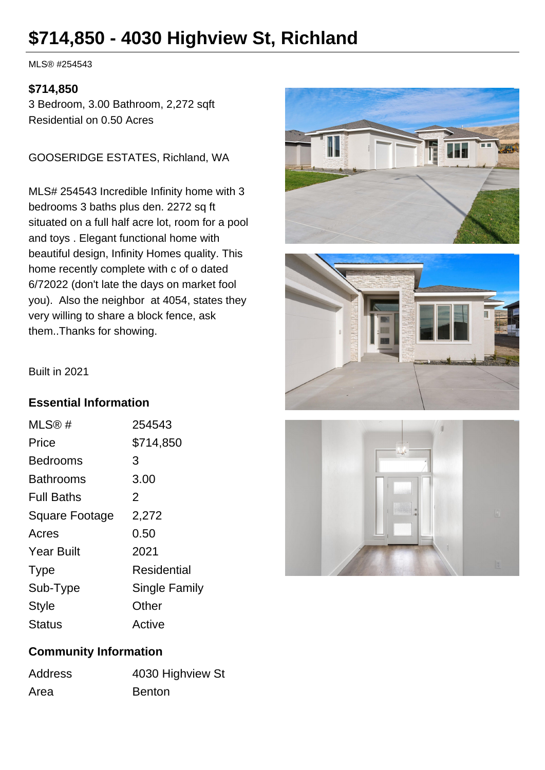# **\$714,850 - 4030 Highview St, Richland**

MLS® #254543

#### **\$714,850**

3 Bedroom, 3.00 Bathroom, 2,272 sqft Residential on 0.50 Acres

GOOSERIDGE ESTATES, Richland, WA

MLS# 254543 Incredible Infinity home with 3 bedrooms 3 baths plus den. 2272 sq ft situated on a full half acre lot, room for a pool and toys . Elegant functional home with beautiful design, Infinity Homes quality. This home recently complete with c of o dated 6/72022 (don't late the days on market fool you). Also the neighbor at 4054, states they very willing to share a block fence, ask them..Thanks for showing.





Built in 2021

### **Essential Information**

| MLS@#                 | 254543        |
|-----------------------|---------------|
| Price                 | \$714,850     |
| <b>Bedrooms</b>       | 3             |
| Bathrooms             | 3.00          |
| <b>Full Baths</b>     | 2             |
| <b>Square Footage</b> | 2,272         |
| Acres                 | 0.50          |
| <b>Year Built</b>     | 2021          |
| <b>Type</b>           | Residential   |
| Sub-Type              | Single Family |
| <b>Style</b>          | Other         |
| <b>Status</b>         | Active        |



### **Community Information**

| <b>Address</b> | 4030 Highview St |
|----------------|------------------|
| Area           | <b>Benton</b>    |